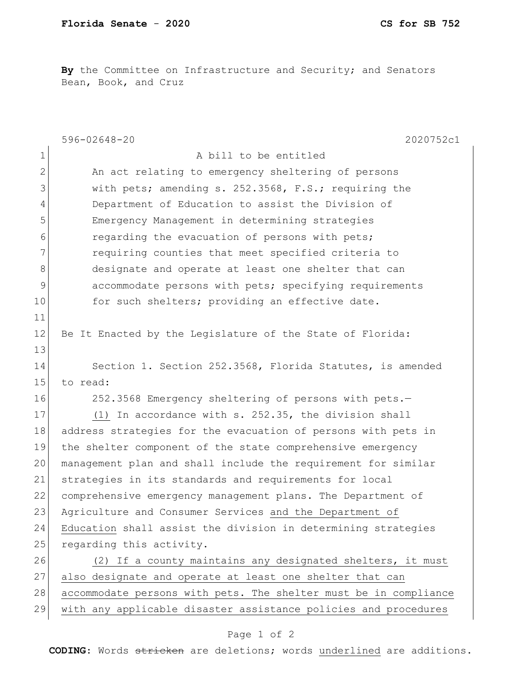**By** the Committee on Infrastructure and Security; and Senators Bean, Book, and Cruz

|                | $596 - 02648 - 20$<br>2020752c1                                  |
|----------------|------------------------------------------------------------------|
| $\mathbf 1$    | A bill to be entitled                                            |
| $\overline{2}$ | An act relating to emergency sheltering of persons               |
| 3              | with pets; amending s. 252.3568, F.S.; requiring the             |
| $\overline{4}$ | Department of Education to assist the Division of                |
| 5              | Emergency Management in determining strategies                   |
| 6              | regarding the evacuation of persons with pets;                   |
| 7              | requiring counties that meet specified criteria to               |
| 8              | designate and operate at least one shelter that can              |
| 9              | accommodate persons with pets; specifying requirements           |
| 10             | for such shelters; providing an effective date.                  |
| 11             |                                                                  |
| 12             | Be It Enacted by the Legislature of the State of Florida:        |
| 13             |                                                                  |
| 14             | Section 1. Section 252.3568, Florida Statutes, is amended        |
| 15             | to read:                                                         |
| 16             | 252.3568 Emergency sheltering of persons with pets.-             |
| 17             | (1) In accordance with s. 252.35, the division shall             |
| 18             | address strategies for the evacuation of persons with pets in    |
| 19             | the shelter component of the state comprehensive emergency       |
| 20             | management plan and shall include the requirement for similar    |
| 21             | strategies in its standards and requirements for local           |
| 22             | comprehensive emergency management plans. The Department of      |
| 23             | Agriculture and Consumer Services and the Department of          |
| 24             | Education shall assist the division in determining strategies    |
| 25             | regarding this activity.                                         |
| 26             | (2) If a county maintains any designated shelters, it must       |
| 27             | also designate and operate at least one shelter that can         |
| 28             | accommodate persons with pets. The shelter must be in compliance |
| 29             | with any applicable disaster assistance policies and procedures  |

## Page 1 of 2

**CODING**: Words stricken are deletions; words underlined are additions.